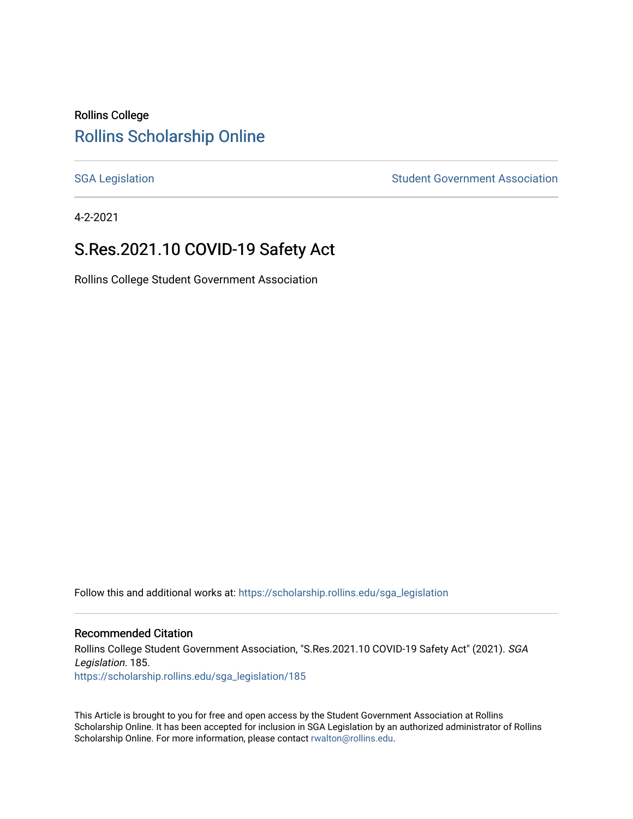### Rollins College [Rollins Scholarship Online](https://scholarship.rollins.edu/)

[SGA Legislation](https://scholarship.rollins.edu/sga_legislation) SGA Legislation Student Government Association

4-2-2021

# S.Res.2021.10 COVID-19 Safety Act

Rollins College Student Government Association

Follow this and additional works at: [https://scholarship.rollins.edu/sga\\_legislation](https://scholarship.rollins.edu/sga_legislation?utm_source=scholarship.rollins.edu%2Fsga_legislation%2F185&utm_medium=PDF&utm_campaign=PDFCoverPages) 

#### Recommended Citation

Rollins College Student Government Association, "S.Res.2021.10 COVID-19 Safety Act" (2021). SGA Legislation. 185. [https://scholarship.rollins.edu/sga\\_legislation/185](https://scholarship.rollins.edu/sga_legislation/185?utm_source=scholarship.rollins.edu%2Fsga_legislation%2F185&utm_medium=PDF&utm_campaign=PDFCoverPages) 

This Article is brought to you for free and open access by the Student Government Association at Rollins Scholarship Online. It has been accepted for inclusion in SGA Legislation by an authorized administrator of Rollins Scholarship Online. For more information, please contact [rwalton@rollins.edu](mailto:rwalton@rollins.edu).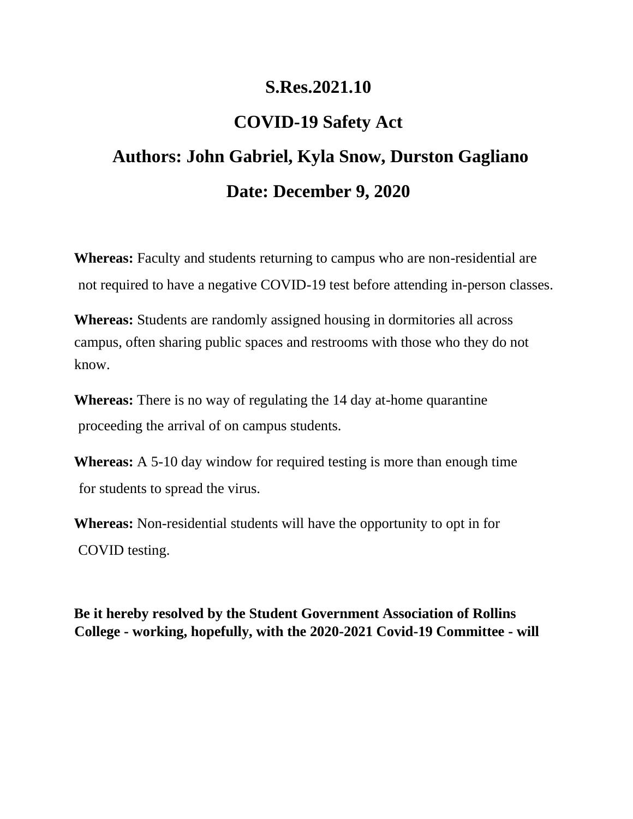# **S.Res.2021.10**

# **COVID-19 Safety Act**

# **Authors: John Gabriel, Kyla Snow, Durston Gagliano Date: December 9, 2020**

**Whereas:** Faculty and students returning to campus who are non-residential are not required to have a negative COVID-19 test before attending in-person classes.

**Whereas:** Students are randomly assigned housing in dormitories all across campus, often sharing public spaces and restrooms with those who they do not know.

**Whereas:** There is no way of regulating the 14 day at-home quarantine proceeding the arrival of on campus students.

**Whereas:** A 5-10 day window for required testing is more than enough time for students to spread the virus.

**Whereas:** Non-residential students will have the opportunity to opt in for COVID testing.

**Be it hereby resolved by the Student Government Association of Rollins College - working, hopefully, with the 2020-2021 Covid-19 Committee - will**